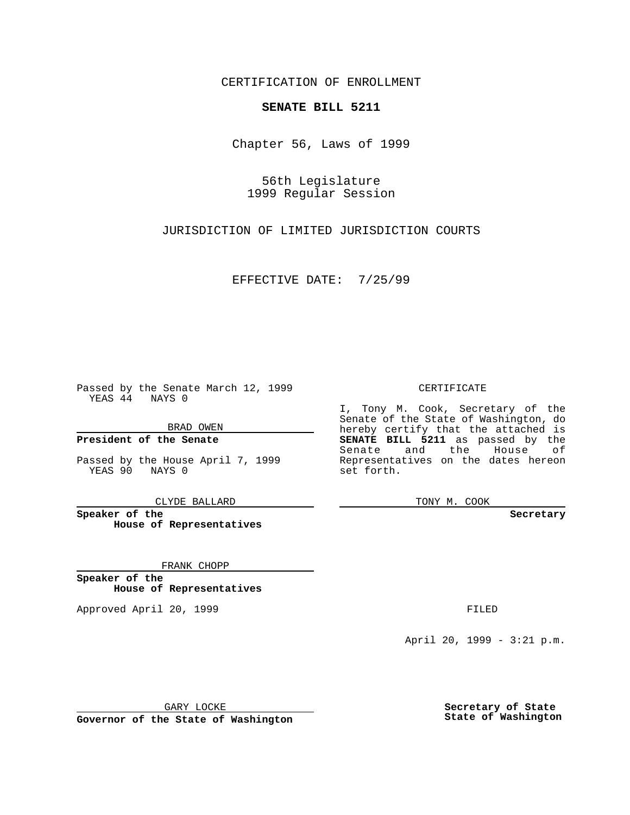CERTIFICATION OF ENROLLMENT

## **SENATE BILL 5211**

Chapter 56, Laws of 1999

56th Legislature 1999 Regular Session

JURISDICTION OF LIMITED JURISDICTION COURTS

EFFECTIVE DATE: 7/25/99

Passed by the Senate March 12, 1999 YEAS 44 NAYS 0

BRAD OWEN

**President of the Senate**

Passed by the House April 7, 1999 YEAS 90 NAYS 0

CLYDE BALLARD

**Speaker of the House of Representatives**

FRANK CHOPP

**Speaker of the House of Representatives**

Approved April 20, 1999 **FILED** 

## CERTIFICATE

I, Tony M. Cook, Secretary of the Senate of the State of Washington, do hereby certify that the attached is **SENATE BILL 5211** as passed by the Senate and the House of Representatives on the dates hereon set forth.

TONY M. COOK

## **Secretary**

April 20, 1999 - 3:21 p.m.

GARY LOCKE

**Governor of the State of Washington**

**Secretary of State State of Washington**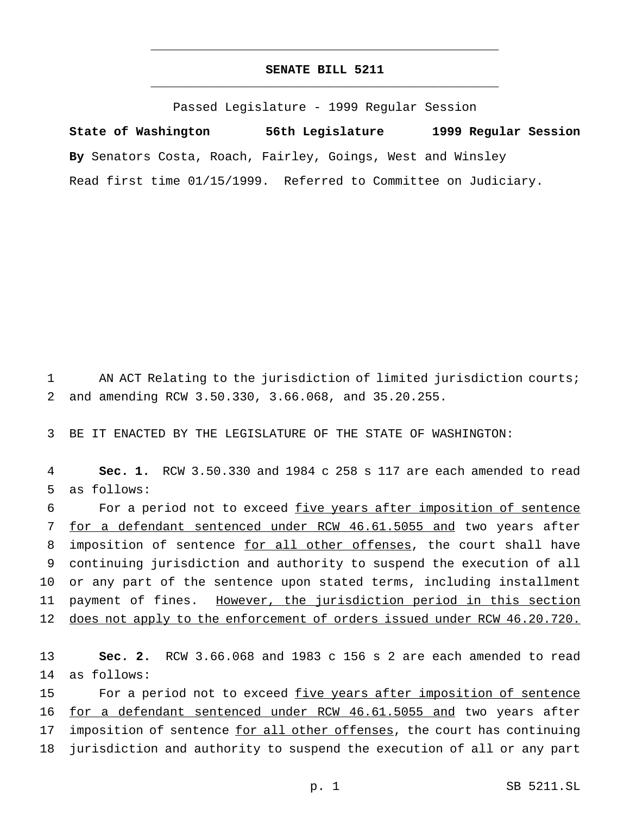## **SENATE BILL 5211** \_\_\_\_\_\_\_\_\_\_\_\_\_\_\_\_\_\_\_\_\_\_\_\_\_\_\_\_\_\_\_\_\_\_\_\_\_\_\_\_\_\_\_\_\_\_\_

\_\_\_\_\_\_\_\_\_\_\_\_\_\_\_\_\_\_\_\_\_\_\_\_\_\_\_\_\_\_\_\_\_\_\_\_\_\_\_\_\_\_\_\_\_\_\_

Passed Legislature - 1999 Regular Session

**State of Washington 56th Legislature 1999 Regular Session By** Senators Costa, Roach, Fairley, Goings, West and Winsley Read first time 01/15/1999. Referred to Committee on Judiciary.

1 AN ACT Relating to the jurisdiction of limited jurisdiction courts; 2 and amending RCW 3.50.330, 3.66.068, and 35.20.255.

3 BE IT ENACTED BY THE LEGISLATURE OF THE STATE OF WASHINGTON:

4 **Sec. 1.** RCW 3.50.330 and 1984 c 258 s 117 are each amended to read 5 as follows:

6 For a period not to exceed five years after imposition of sentence 7 for a defendant sentenced under RCW 46.61.5055 and two years after 8 imposition of sentence for all other offenses, the court shall have 9 continuing jurisdiction and authority to suspend the execution of all 10 or any part of the sentence upon stated terms, including installment 11 payment of fines. However, the jurisdiction period in this section 12 does not apply to the enforcement of orders issued under RCW 46.20.720.

13 **Sec. 2.** RCW 3.66.068 and 1983 c 156 s 2 are each amended to read 14 as follows:

15 For a period not to exceed five years after imposition of sentence 16 for a defendant sentenced under RCW 46.61.5055 and two years after 17 imposition of sentence for all other offenses, the court has continuing 18 jurisdiction and authority to suspend the execution of all or any part